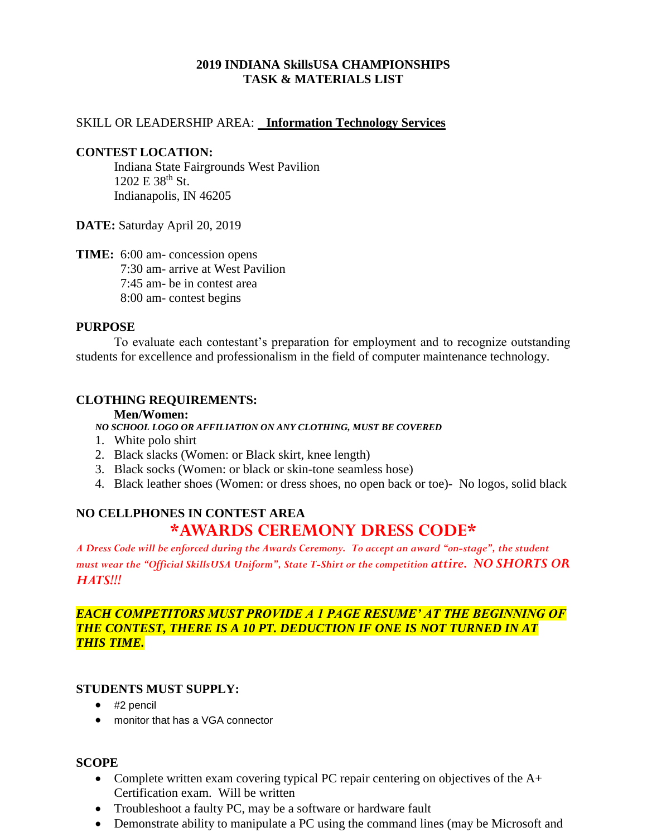# **2019 INDIANA SkillsUSA CHAMPIONSHIPS TASK & MATERIALS LIST**

## SKILL OR LEADERSHIP AREA: **Information Technology Services**

### **CONTEST LOCATION:**

Indiana State Fairgrounds West Pavilion 1202 E 38<sup>th</sup> St. Indianapolis, IN 46205

**DATE:** Saturday April 20, 2019

**TIME:** 6:00 am- concession opens 7:30 am- arrive at West Pavilion 7:45 am- be in contest area 8:00 am- contest begins

## **PURPOSE**

To evaluate each contestant's preparation for employment and to recognize outstanding students for excellence and professionalism in the field of computer maintenance technology.

## **CLOTHING REQUIREMENTS:**

#### **Men/Women:**

*NO SCHOOL LOGO OR AFFILIATION ON ANY CLOTHING, MUST BE COVERED*

- 1. White polo shirt
- 2. Black slacks (Women: or Black skirt, knee length)
- 3. Black socks (Women: or black or skin-tone seamless hose)
- 4. Black leather shoes (Women: or dress shoes, no open back or toe)- No logos, solid black

# **NO CELLPHONES IN CONTEST AREA \*AWARDS CEREMONY DRESS CODE\***

*A Dress Code will be enforced during the Awards Ceremony. To accept an award "on-stage", the student must wear the "Official SkillsUSA Uniform", State T-Shirt or the competition attire. NO SHORTS OR HATS!!!*

## *EACH COMPETITORS MUST PROVIDE A 1 PAGE RESUME' AT THE BEGINNING OF THE CONTEST, THERE IS A 10 PT. DEDUCTION IF ONE IS NOT TURNED IN AT THIS TIME.*

## **STUDENTS MUST SUPPLY:**

- #2 pencil
- monitor that has a VGA connector

## **SCOPE**

- Complete written exam covering typical PC repair centering on objectives of the A+ Certification exam. Will be written
- Troubleshoot a faulty PC, may be a software or hardware fault
- Demonstrate ability to manipulate a PC using the command lines (may be Microsoft and